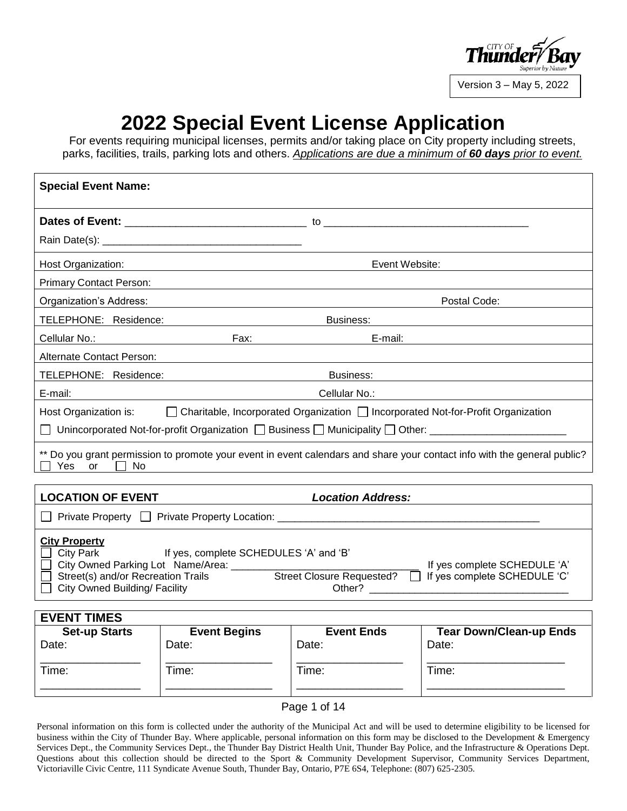

Version 3 – May 5, 2022

\_\_\_\_\_\_\_\_\_\_\_\_\_\_\_\_\_\_\_\_\_\_

# **2022 Special Event License Application**

For events requiring municipal licenses, permits and/or taking place on City property including streets, parks, facilities, trails, parking lots and others. *Applications are due a minimum of 60 days prior to event.*

| <b>Special Event Name:</b>                                                                                                                                                                                                                                |                                                      |                   |                                                                                                                          |  |
|-----------------------------------------------------------------------------------------------------------------------------------------------------------------------------------------------------------------------------------------------------------|------------------------------------------------------|-------------------|--------------------------------------------------------------------------------------------------------------------------|--|
|                                                                                                                                                                                                                                                           |                                                      |                   |                                                                                                                          |  |
|                                                                                                                                                                                                                                                           |                                                      |                   |                                                                                                                          |  |
| Host Organization:                                                                                                                                                                                                                                        | <u> 2000 - Andrea Andrew Maria (h. 18</u>            | Event Website:    |                                                                                                                          |  |
| <b>Primary Contact Person:</b>                                                                                                                                                                                                                            |                                                      |                   |                                                                                                                          |  |
| Organization's Address:                                                                                                                                                                                                                                   |                                                      |                   | Postal Code:                                                                                                             |  |
| TELEPHONE: Residence:                                                                                                                                                                                                                                     | <u> 1989 - Johann Barnett, fransk politik (</u>      | Business:         |                                                                                                                          |  |
| Cellular No.:                                                                                                                                                                                                                                             |                                                      | E-mail:           |                                                                                                                          |  |
| <b>Alternate Contact Person:</b>                                                                                                                                                                                                                          |                                                      |                   |                                                                                                                          |  |
| TELEPHONE: Residence:                                                                                                                                                                                                                                     |                                                      | Business:         |                                                                                                                          |  |
| E-mail:                                                                                                                                                                                                                                                   |                                                      | Cellular No.:     |                                                                                                                          |  |
|                                                                                                                                                                                                                                                           |                                                      |                   | Host Organization is: $\Box$ Charitable, Incorporated Organization $\Box$ Incorporated Not-for-Profit Organization       |  |
|                                                                                                                                                                                                                                                           |                                                      |                   |                                                                                                                          |  |
| Yes or<br>and the first<br>No.                                                                                                                                                                                                                            |                                                      |                   | ** Do you grant permission to promote your event in event calendars and share your contact info with the general public? |  |
|                                                                                                                                                                                                                                                           |                                                      |                   |                                                                                                                          |  |
|                                                                                                                                                                                                                                                           | <b>LOCATION OF EVENT</b><br><b>Location Address:</b> |                   |                                                                                                                          |  |
|                                                                                                                                                                                                                                                           |                                                      |                   |                                                                                                                          |  |
| <b>City Property</b><br>□ City Park<br>If yes, complete SCHEDULES 'A' and 'B'<br>If yes complete SCHEDULE 'A'<br>Street(s) and/or Recreation Trails Street Closure Requested? $\Box$ If yes complete SCHEDULE 'C'<br><b>City Owned Building/ Facility</b> |                                                      |                   |                                                                                                                          |  |
| <b>EVENT TIMES</b>                                                                                                                                                                                                                                        |                                                      |                   |                                                                                                                          |  |
| <b>Set-up Starts</b>                                                                                                                                                                                                                                      | <b>Event Begins</b>                                  | <b>Event Ends</b> | <b>Tear Down/Clean-up Ends</b>                                                                                           |  |
| Date:                                                                                                                                                                                                                                                     | Date:                                                | Date:             | Date:                                                                                                                    |  |
| Time:                                                                                                                                                                                                                                                     | Time:                                                | Time:             | Time:                                                                                                                    |  |

Page 1 of 14

\_\_\_\_\_\_\_\_\_\_\_\_\_\_\_\_\_

\_\_\_\_\_\_\_\_\_\_\_\_\_\_\_\_\_

\_\_\_\_\_\_\_\_\_\_\_\_\_\_\_\_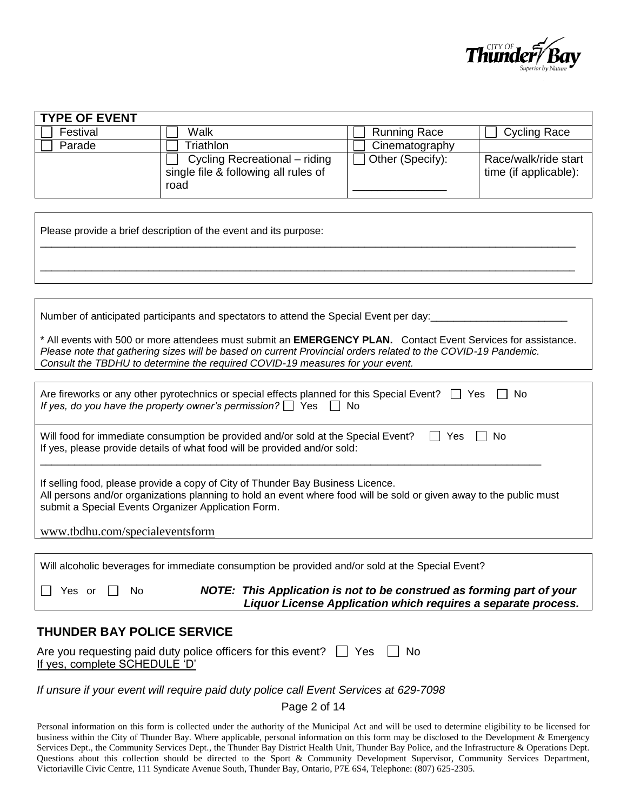

| <b>TYPE OF EVENT</b> |                                                                               |                     |                                               |
|----------------------|-------------------------------------------------------------------------------|---------------------|-----------------------------------------------|
| Festival             | Walk                                                                          | <b>Running Race</b> | <b>Cycling Race</b>                           |
| Parade               | riathlon                                                                      | Cinematography      |                                               |
|                      | Cycling Recreational – riding<br>single file & following all rules of<br>road | Other (Specify):    | Race/walk/ride start<br>time (if applicable): |

Please provide a brief description of the event and its purpose:

Number of anticipated participants and spectators to attend the Special Event per day:

\* All events with 500 or more attendees must submit an **EMERGENCY PLAN.** Contact Event Services for assistance. *Please note that gathering sizes will be based on current Provincial orders related to the COVID-19 Pandemic. Consult the TBDHU to determine the required COVID-19 measures for your event.*

\_\_\_\_\_\_\_\_\_\_\_\_\_\_\_\_\_\_\_\_\_\_\_\_\_\_\_\_\_\_\_\_\_\_\_\_\_\_\_\_\_\_\_\_\_\_\_\_\_\_\_\_\_\_\_\_\_\_\_\_\_\_\_\_\_\_\_\_\_\_\_\_\_\_\_\_\_\_\_\_\_\_\_\_\_\_\_\_\_\_\_\_\_\_

\_\_\_\_\_\_\_\_\_\_\_\_\_\_\_\_\_\_\_\_\_\_\_\_\_\_\_\_\_\_\_\_\_\_\_\_\_\_\_\_\_\_\_\_\_\_\_\_\_\_\_\_\_\_\_\_\_\_\_\_\_\_\_\_\_\_\_\_\_\_\_\_\_\_\_\_\_\_\_\_\_\_\_\_\_\_\_\_\_\_\_\_\_\_

| Are fireworks or any other pyrotechnics or special effects planned for this Special Event? $\Box$ Yes $\Box$ No<br>If yes, do you have the property owner's permission? $\Box$ Yes $\Box$ No                                                                  |  |  |
|---------------------------------------------------------------------------------------------------------------------------------------------------------------------------------------------------------------------------------------------------------------|--|--|
| Will food for immediate consumption be provided and/or sold at the Special Event?<br>- No<br>If yes, please provide details of what food will be provided and/or sold:                                                                                        |  |  |
| If selling food, please provide a copy of City of Thunder Bay Business Licence.<br>All persons and/or organizations planning to hold an event where food will be sold or given away to the public must<br>submit a Special Events Organizer Application Form. |  |  |
| www.tbdhu.com/specialeventsform                                                                                                                                                                                                                               |  |  |
|                                                                                                                                                                                                                                                               |  |  |

| $\Box$ Yes or $\Box$ No | NOTE: This Application is not to be construed as forming part of your |  |
|-------------------------|-----------------------------------------------------------------------|--|

Will alcoholic beverages for immediate consumption be provided and/or sold at the Special Event?

 *Liquor License Application which requires a separate process.*

### **THUNDER BAY POLICE SERVICE**

| Are you requesting paid duty police officers for this event? $\Box$ Yes $\Box$ No |  |
|-----------------------------------------------------------------------------------|--|
| If yes, complete SCHEDULE 'D'                                                     |  |

#### *If unsure if your event will require paid duty police call Event Services at 629-7098*

Page 2 of 14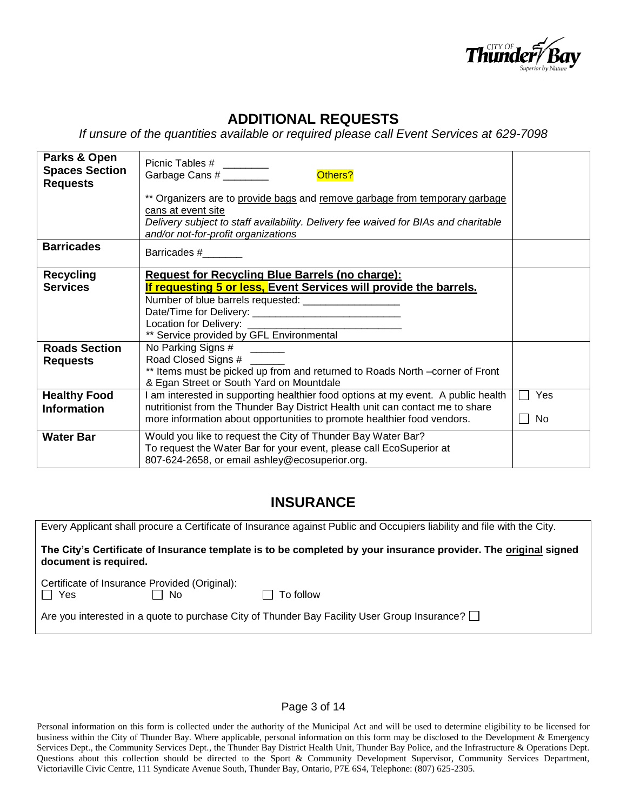

# **ADDITIONAL REQUESTS**

*If unsure of the quantities available or required please call Event Services at 629-7098*

| Parks & Open<br><b>Spaces Section</b><br><b>Requests</b> | Picnic Tables # ________<br>Others?<br>Garbage Cans #                                                                                                                                                                           |     |
|----------------------------------------------------------|---------------------------------------------------------------------------------------------------------------------------------------------------------------------------------------------------------------------------------|-----|
|                                                          | ** Organizers are to provide bags and remove garbage from temporary garbage<br>cans at event site<br>Delivery subject to staff availability. Delivery fee waived for BIAs and charitable<br>and/or not-for-profit organizations |     |
| <b>Barricades</b>                                        | Barricades #                                                                                                                                                                                                                    |     |
| <b>Recycling</b>                                         | <b>Request for Recycling Blue Barrels (no charge):</b>                                                                                                                                                                          |     |
| <b>Services</b>                                          | If requesting 5 or less, Event Services will provide the barrels.                                                                                                                                                               |     |
|                                                          | Number of blue barrels requested: ____________________                                                                                                                                                                          |     |
|                                                          |                                                                                                                                                                                                                                 |     |
|                                                          |                                                                                                                                                                                                                                 |     |
|                                                          | ** Service provided by GFL Environmental                                                                                                                                                                                        |     |
| <b>Roads Section</b>                                     | No Parking Signs #                                                                                                                                                                                                              |     |
| <b>Requests</b>                                          | Road Closed Signs # ____                                                                                                                                                                                                        |     |
|                                                          | ** Items must be picked up from and returned to Roads North -corner of Front                                                                                                                                                    |     |
|                                                          | & Egan Street or South Yard on Mountdale                                                                                                                                                                                        |     |
| <b>Healthy Food</b>                                      | I am interested in supporting healthier food options at my event. A public health                                                                                                                                               | Yes |
| <b>Information</b>                                       | nutritionist from the Thunder Bay District Health unit can contact me to share                                                                                                                                                  |     |
|                                                          | more information about opportunities to promote healthier food vendors.                                                                                                                                                         | No  |
| <b>Water Bar</b>                                         | Would you like to request the City of Thunder Bay Water Bar?                                                                                                                                                                    |     |
|                                                          | To request the Water Bar for your event, please call EcoSuperior at                                                                                                                                                             |     |
|                                                          | 807-624-2658, or email ashley@ecosuperior.org.                                                                                                                                                                                  |     |

# **INSURANCE**

| Every Applicant shall procure a Certificate of Insurance against Public and Occupiers liability and file with the City.                  |  |  |  |
|------------------------------------------------------------------------------------------------------------------------------------------|--|--|--|
| The City's Certificate of Insurance template is to be completed by your insurance provider. The original signed<br>document is required. |  |  |  |
| Certificate of Insurance Provided (Original):<br>$\Box$ No<br>II Yes<br>To follow                                                        |  |  |  |
| Are you interested in a quote to purchase City of Thunder Bay Facility User Group Insurance?                                             |  |  |  |

#### Page 3 of 14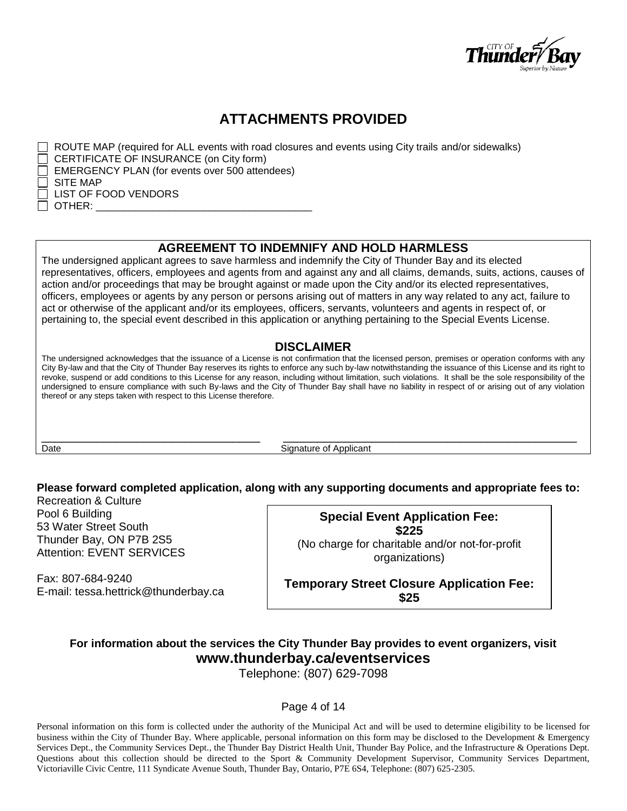

# **ATTACHMENTS PROVIDED**

 $\Box$  ROUTE MAP (required for ALL events with road closures and events using City trails and/or sidewalks) CERTIFICATE OF INSURANCE (on City form) EMERGENCY PLAN (for events over 500 attendees) SITE MAP LIST OF FOOD VENDORS OTHER:

### **AGREEMENT TO INDEMNIFY AND HOLD HARMLESS**

The undersigned applicant agrees to save harmless and indemnify the City of Thunder Bay and its elected representatives, officers, employees and agents from and against any and all claims, demands, suits, actions, causes of action and/or proceedings that may be brought against or made upon the City and/or its elected representatives, officers, employees or agents by any person or persons arising out of matters in any way related to any act, failure to act or otherwise of the applicant and/or its employees, officers, servants, volunteers and agents in respect of, or pertaining to, the special event described in this application or anything pertaining to the Special Events License.

### **DISCLAIMER**

The undersigned acknowledges that the issuance of a License is not confirmation that the licensed person, premises or operation conforms with any City By-law and that the City of Thunder Bay reserves its rights to enforce any such by-law notwithstanding the issuance of this License and its right to revoke, suspend or add conditions to this License for any reason, including without limitation, such violations. It shall be the sole responsibility of the undersigned to ensure compliance with such By-laws and the City of Thunder Bay shall have no liability in respect of or arising out of any violation thereof or any steps taken with respect to this License therefore.

\_\_\_\_\_\_\_\_\_\_\_\_\_\_\_\_\_\_\_\_\_\_\_\_\_\_\_\_\_\_\_\_ \_\_\_\_\_\_\_\_\_\_\_\_\_\_\_\_\_\_\_\_\_\_\_\_\_\_\_\_\_\_\_\_\_\_\_\_\_\_\_\_\_\_\_ Date **Signature of Applicant** 

# **Please forward completed application, along with any supporting documents and appropriate fees to:**

Recreation & Culture Pool 6 Building 53 Water Street South Thunder Bay, ON P7B 2S5 Attention: EVENT SERVICES

Fax: 807-684-9240 E-mail: tessa.hettrick@thunderbay.ca

**Special Event Application Fee: \$225** (No charge for charitable and/or not-for-profit organizations)

**Temporary Street Closure Application Fee: \$25**

# **For information about the services the City Thunder Bay provides to event organizers, visit www.thunderbay.ca/eventservices**

Telephone: (807) 629-7098

Page 4 of 14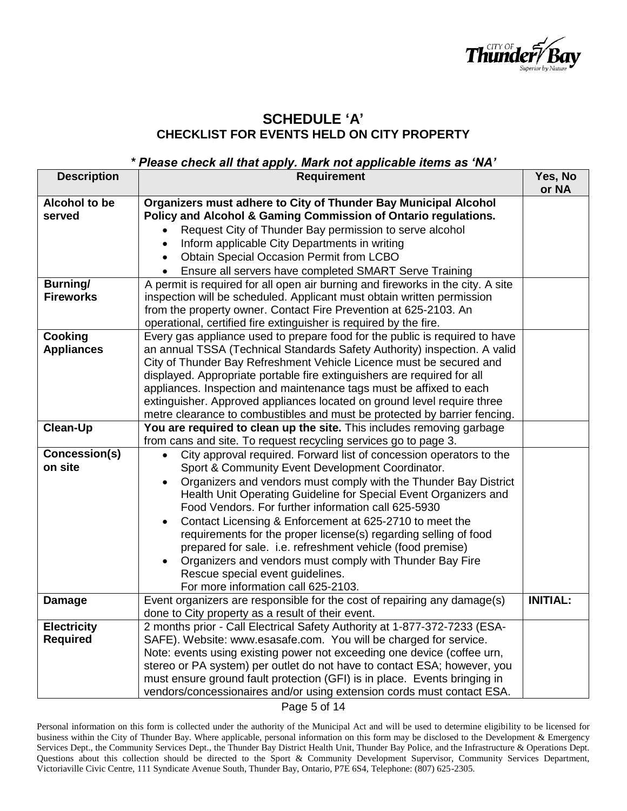

### **SCHEDULE 'A' CHECKLIST FOR EVENTS HELD ON CITY PROPERTY**

### *\* Please check all that apply. Mark not applicable items as 'NA'*

| <b>Description</b> | <b>Requirement</b>                                                                                              | Yes, No<br>or NA |
|--------------------|-----------------------------------------------------------------------------------------------------------------|------------------|
| Alcohol to be      | Organizers must adhere to City of Thunder Bay Municipal Alcohol                                                 |                  |
| served             | Policy and Alcohol & Gaming Commission of Ontario regulations.                                                  |                  |
|                    | Request City of Thunder Bay permission to serve alcohol<br>$\bullet$                                            |                  |
|                    | Inform applicable City Departments in writing<br>$\bullet$                                                      |                  |
|                    | <b>Obtain Special Occasion Permit from LCBO</b><br>$\bullet$                                                    |                  |
|                    | Ensure all servers have completed SMART Serve Training<br>$\bullet$                                             |                  |
| <b>Burning/</b>    | A permit is required for all open air burning and fireworks in the city. A site                                 |                  |
| <b>Fireworks</b>   | inspection will be scheduled. Applicant must obtain written permission                                          |                  |
|                    | from the property owner. Contact Fire Prevention at 625-2103. An                                                |                  |
|                    | operational, certified fire extinguisher is required by the fire.                                               |                  |
| Cooking            | Every gas appliance used to prepare food for the public is required to have                                     |                  |
| <b>Appliances</b>  | an annual TSSA (Technical Standards Safety Authority) inspection. A valid                                       |                  |
|                    | City of Thunder Bay Refreshment Vehicle Licence must be secured and                                             |                  |
|                    | displayed. Appropriate portable fire extinguishers are required for all                                         |                  |
|                    | appliances. Inspection and maintenance tags must be affixed to each                                             |                  |
|                    | extinguisher. Approved appliances located on ground level require three                                         |                  |
|                    | metre clearance to combustibles and must be protected by barrier fencing.                                       |                  |
| <b>Clean-Up</b>    | You are required to clean up the site. This includes removing garbage                                           |                  |
|                    | from cans and site. To request recycling services go to page 3.                                                 |                  |
| Concession(s)      | City approval required. Forward list of concession operators to the                                             |                  |
| on site            | Sport & Community Event Development Coordinator.                                                                |                  |
|                    | Organizers and vendors must comply with the Thunder Bay District                                                |                  |
|                    | Health Unit Operating Guideline for Special Event Organizers and                                                |                  |
|                    | Food Vendors. For further information call 625-5930                                                             |                  |
|                    | Contact Licensing & Enforcement at 625-2710 to meet the<br>$\bullet$                                            |                  |
|                    | requirements for the proper license(s) regarding selling of food                                                |                  |
|                    | prepared for sale. i.e. refreshment vehicle (food premise)                                                      |                  |
|                    | Organizers and vendors must comply with Thunder Bay Fire                                                        |                  |
|                    | Rescue special event guidelines.                                                                                |                  |
| <b>Damage</b>      | For more information call 625-2103.<br>Event organizers are responsible for the cost of repairing any damage(s) | <b>INITIAL:</b>  |
|                    | done to City property as a result of their event.                                                               |                  |
| <b>Electricity</b> | 2 months prior - Call Electrical Safety Authority at 1-877-372-7233 (ESA-                                       |                  |
| <b>Required</b>    | SAFE). Website: www.esasafe.com. You will be charged for service.                                               |                  |
|                    | Note: events using existing power not exceeding one device (coffee urn,                                         |                  |
|                    | stereo or PA system) per outlet do not have to contact ESA; however, you                                        |                  |
|                    | must ensure ground fault protection (GFI) is in place. Events bringing in                                       |                  |
|                    | vendors/concessionaires and/or using extension cords must contact ESA.                                          |                  |

Page 5 of 14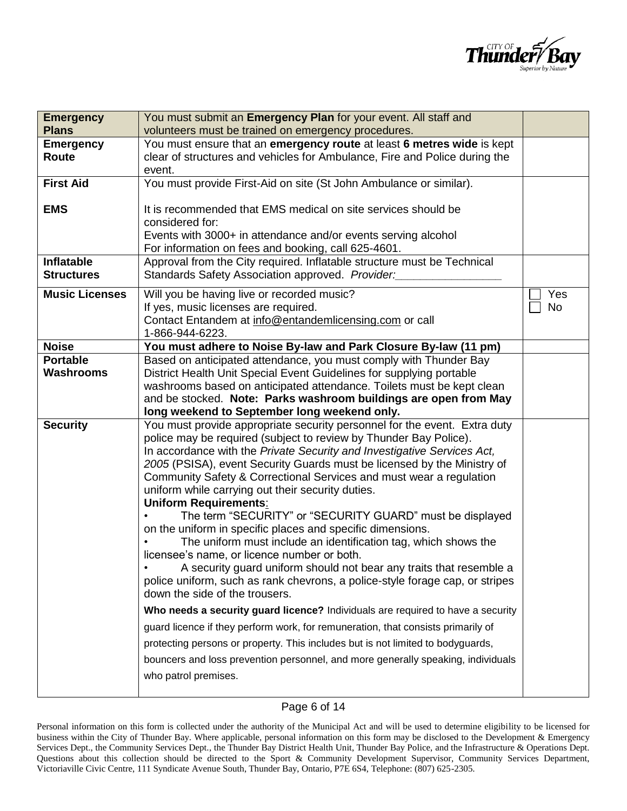

| <b>Emergency</b>      | You must submit an Emergency Plan for your event. All staff and                                                                                                                                          |                  |
|-----------------------|----------------------------------------------------------------------------------------------------------------------------------------------------------------------------------------------------------|------------------|
| <b>Plans</b>          | volunteers must be trained on emergency procedures.                                                                                                                                                      |                  |
| <b>Emergency</b>      | You must ensure that an emergency route at least 6 metres wide is kept                                                                                                                                   |                  |
| Route                 | clear of structures and vehicles for Ambulance, Fire and Police during the                                                                                                                               |                  |
|                       | event.                                                                                                                                                                                                   |                  |
| <b>First Aid</b>      | You must provide First-Aid on site (St John Ambulance or similar).                                                                                                                                       |                  |
| <b>EMS</b>            | It is recommended that EMS medical on site services should be<br>considered for:<br>Events with 3000+ in attendance and/or events serving alcohol<br>For information on fees and booking, call 625-4601. |                  |
| <b>Inflatable</b>     | Approval from the City required. Inflatable structure must be Technical                                                                                                                                  |                  |
| <b>Structures</b>     | Standards Safety Association approved. Provider:                                                                                                                                                         |                  |
| <b>Music Licenses</b> | Will you be having live or recorded music?<br>If yes, music licenses are required.<br>Contact Entandem at info@entandemlicensing.com or call<br>1-866-944-6223.                                          | Yes<br><b>No</b> |
| <b>Noise</b>          | You must adhere to Noise By-law and Park Closure By-law (11 pm)                                                                                                                                          |                  |
| <b>Portable</b>       | Based on anticipated attendance, you must comply with Thunder Bay                                                                                                                                        |                  |
| <b>Washrooms</b>      | District Health Unit Special Event Guidelines for supplying portable                                                                                                                                     |                  |
|                       | washrooms based on anticipated attendance. Toilets must be kept clean                                                                                                                                    |                  |
|                       | and be stocked. Note: Parks washroom buildings are open from May                                                                                                                                         |                  |
|                       |                                                                                                                                                                                                          |                  |
|                       | long weekend to September long weekend only.                                                                                                                                                             |                  |
| <b>Security</b>       | You must provide appropriate security personnel for the event. Extra duty                                                                                                                                |                  |
|                       | police may be required (subject to review by Thunder Bay Police).                                                                                                                                        |                  |
|                       | In accordance with the Private Security and Investigative Services Act,                                                                                                                                  |                  |
|                       | 2005 (PSISA), event Security Guards must be licensed by the Ministry of                                                                                                                                  |                  |
|                       | Community Safety & Correctional Services and must wear a regulation<br>uniform while carrying out their security duties.                                                                                 |                  |
|                       | <b>Uniform Requirements:</b>                                                                                                                                                                             |                  |
|                       | The term "SECURITY" or "SECURITY GUARD" must be displayed<br>on the uniform in specific places and specific dimensions.                                                                                  |                  |
|                       | The uniform must include an identification tag, which shows the                                                                                                                                          |                  |
|                       | licensee's name, or licence number or both.                                                                                                                                                              |                  |
|                       | A security guard uniform should not bear any traits that resemble a<br>police uniform, such as rank chevrons, a police-style forage cap, or stripes                                                      |                  |
|                       | down the side of the trousers.                                                                                                                                                                           |                  |
|                       | Who needs a security guard licence? Individuals are required to have a security                                                                                                                          |                  |
|                       | guard licence if they perform work, for remuneration, that consists primarily of                                                                                                                         |                  |
|                       | protecting persons or property. This includes but is not limited to bodyguards,                                                                                                                          |                  |
|                       | bouncers and loss prevention personnel, and more generally speaking, individuals                                                                                                                         |                  |
|                       | who patrol premises.                                                                                                                                                                                     |                  |

### Page 6 of 14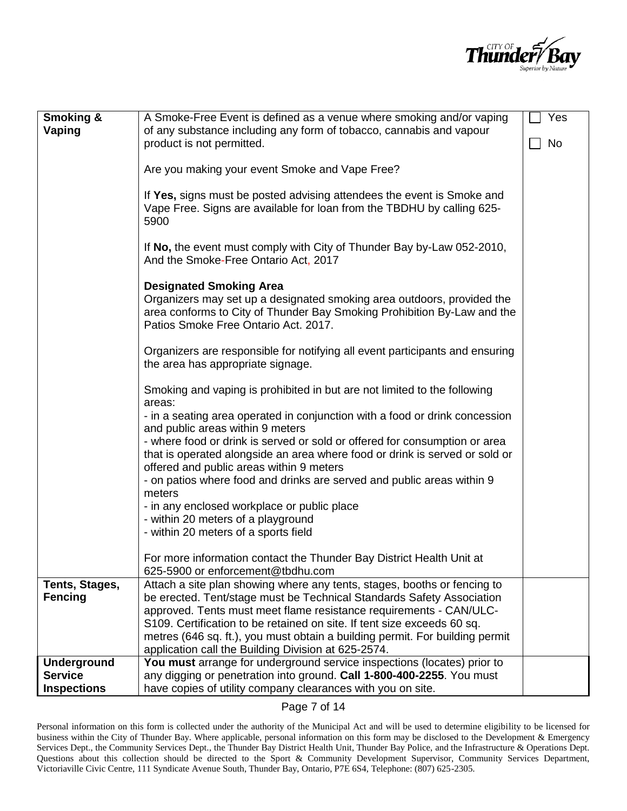

| <b>Smoking &amp;</b><br>Vaping       | A Smoke-Free Event is defined as a venue where smoking and/or vaping<br>of any substance including any form of tobacco, cannabis and vapour                                                                                                                                                                                                                                                                                               | Yes |
|--------------------------------------|-------------------------------------------------------------------------------------------------------------------------------------------------------------------------------------------------------------------------------------------------------------------------------------------------------------------------------------------------------------------------------------------------------------------------------------------|-----|
|                                      | product is not permitted.                                                                                                                                                                                                                                                                                                                                                                                                                 | No  |
|                                      | Are you making your event Smoke and Vape Free?                                                                                                                                                                                                                                                                                                                                                                                            |     |
|                                      | If Yes, signs must be posted advising attendees the event is Smoke and<br>Vape Free. Signs are available for loan from the TBDHU by calling 625-<br>5900                                                                                                                                                                                                                                                                                  |     |
|                                      | If No, the event must comply with City of Thunder Bay by-Law 052-2010,<br>And the Smoke-Free Ontario Act, 2017                                                                                                                                                                                                                                                                                                                            |     |
|                                      | <b>Designated Smoking Area</b><br>Organizers may set up a designated smoking area outdoors, provided the<br>area conforms to City of Thunder Bay Smoking Prohibition By-Law and the<br>Patios Smoke Free Ontario Act. 2017.                                                                                                                                                                                                               |     |
|                                      | Organizers are responsible for notifying all event participants and ensuring<br>the area has appropriate signage.                                                                                                                                                                                                                                                                                                                         |     |
|                                      | Smoking and vaping is prohibited in but are not limited to the following<br>areas:                                                                                                                                                                                                                                                                                                                                                        |     |
|                                      | - in a seating area operated in conjunction with a food or drink concession<br>and public areas within 9 meters                                                                                                                                                                                                                                                                                                                           |     |
|                                      | - where food or drink is served or sold or offered for consumption or area<br>that is operated alongside an area where food or drink is served or sold or<br>offered and public areas within 9 meters                                                                                                                                                                                                                                     |     |
|                                      | - on patios where food and drinks are served and public areas within 9<br>meters                                                                                                                                                                                                                                                                                                                                                          |     |
|                                      | - in any enclosed workplace or public place<br>- within 20 meters of a playground                                                                                                                                                                                                                                                                                                                                                         |     |
|                                      | - within 20 meters of a sports field                                                                                                                                                                                                                                                                                                                                                                                                      |     |
|                                      | For more information contact the Thunder Bay District Health Unit at<br>625-5900 or enforcement@tbdhu.com                                                                                                                                                                                                                                                                                                                                 |     |
| Tents, Stages,<br><b>Fencing</b>     | Attach a site plan showing where any tents, stages, booths or fencing to<br>be erected. Tent/stage must be Technical Standards Safety Association<br>approved. Tents must meet flame resistance requirements - CAN/ULC-<br>S109. Certification to be retained on site. If tent size exceeds 60 sq.<br>metres (646 sq. ft.), you must obtain a building permit. For building permit<br>application call the Building Division at 625-2574. |     |
| <b>Underground</b><br><b>Service</b> | You must arrange for underground service inspections (locates) prior to<br>any digging or penetration into ground. Call 1-800-400-2255. You must                                                                                                                                                                                                                                                                                          |     |
| <b>Inspections</b>                   | have copies of utility company clearances with you on site.                                                                                                                                                                                                                                                                                                                                                                               |     |

Page 7 of 14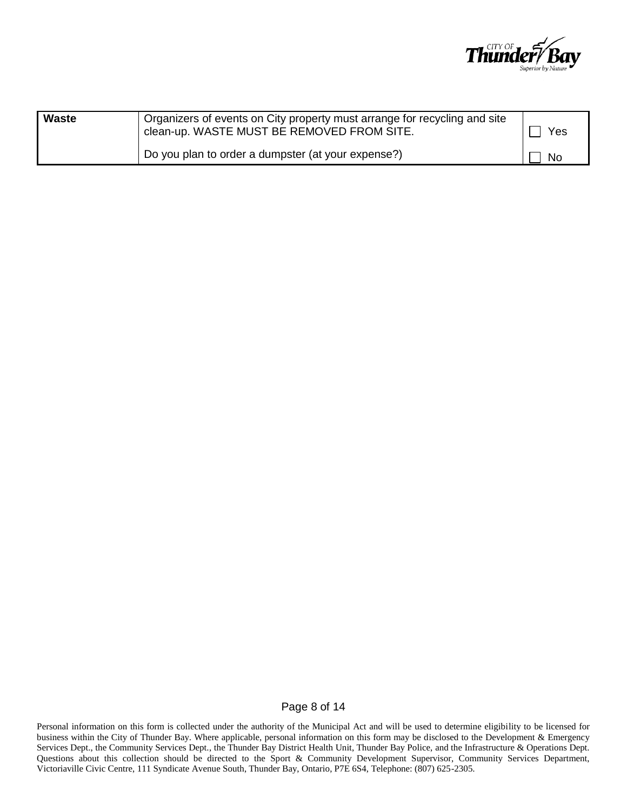

| Waste | Organizers of events on City property must arrange for recycling and site<br>clean-up. WASTE MUST BE REMOVED FROM SITE. | Yes       |
|-------|-------------------------------------------------------------------------------------------------------------------------|-----------|
|       | Do you plan to order a dumpster (at your expense?)                                                                      | <b>No</b> |

#### Page 8 of 14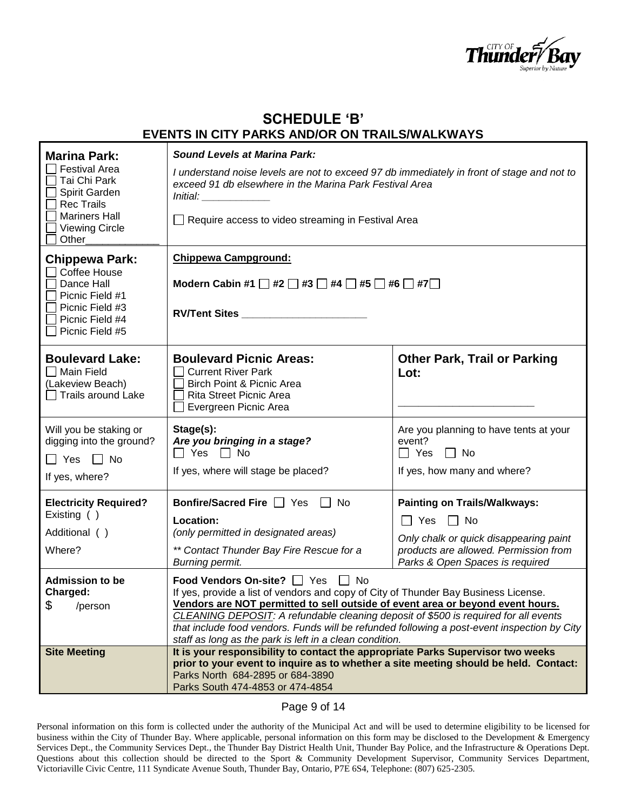

## **SCHEDULE 'B' EVENTS IN CITY PARKS AND/OR ON TRAILS/WALKWAYS**

| <b>Marina Park:</b><br><b>Festival Area</b><br>Tai Chi Park<br>Spirit Garden<br><b>Rec Trails</b><br><b>Mariners Hall</b><br><b>Viewing Circle</b><br>Other | <b>Sound Levels at Marina Park:</b><br>I understand noise levels are not to exceed 97 db immediately in front of stage and not to<br>exceed 91 db elsewhere in the Marina Park Festival Area<br>Require access to video streaming in Festival Area                                                                                                                                                                                                         |                                                                                                                                                                                   |
|-------------------------------------------------------------------------------------------------------------------------------------------------------------|------------------------------------------------------------------------------------------------------------------------------------------------------------------------------------------------------------------------------------------------------------------------------------------------------------------------------------------------------------------------------------------------------------------------------------------------------------|-----------------------------------------------------------------------------------------------------------------------------------------------------------------------------------|
| <b>Chippewa Park:</b><br>Coffee House<br>Dance Hall<br>Picnic Field #1<br>Picnic Field #3<br>Picnic Field #4<br>Picnic Field #5                             | <b>Chippewa Campground:</b><br>Modern Cabin #1 $\Box$ #2 $\Box$ #3 $\Box$ #4 $\Box$ #5 $\Box$ #6 $\Box$ #7 $\Box$<br>RV/Tent Sites                                                                                                                                                                                                                                                                                                                         |                                                                                                                                                                                   |
| <b>Boulevard Lake:</b><br>Main Field<br>(Lakeview Beach)<br><b>Trails around Lake</b>                                                                       | <b>Boulevard Picnic Areas:</b><br><b>Current River Park</b><br>Birch Point & Picnic Area<br><b>Rita Street Picnic Area</b><br>Evergreen Picnic Area                                                                                                                                                                                                                                                                                                        | <b>Other Park, Trail or Parking</b><br>Lot:                                                                                                                                       |
| Will you be staking or<br>digging into the ground?<br>$\Box$ Yes $\Box$ No<br>If yes, where?                                                                | Stage(s):<br>Are you bringing in a stage?<br>$\Box$ Yes $\Box$ No<br>If yes, where will stage be placed?                                                                                                                                                                                                                                                                                                                                                   | Are you planning to have tents at your<br>event?<br>$\Box$ Yes $\Box$ No<br>If yes, how many and where?                                                                           |
| <b>Electricity Required?</b><br>Existing ()<br>Additional ()<br>Where?                                                                                      | <b>Bonfire/Sacred Fire</b> <u>□</u> Yes □ No<br>Location:<br>(only permitted in designated areas)<br>** Contact Thunder Bay Fire Rescue for a<br>Burning permit.                                                                                                                                                                                                                                                                                           | <b>Painting on Trails/Walkways:</b><br>$\Box$ Yes $\Box$ No<br>Only chalk or quick disappearing paint<br>products are allowed. Permission from<br>Parks & Open Spaces is required |
| <b>Admission to be</b><br>Charged:<br>\$<br>/person                                                                                                         | Food Vendors On-site? □ Yes □ No<br>If yes, provide a list of vendors and copy of City of Thunder Bay Business License.<br>Vendors are NOT permitted to sell outside of event area or beyond event hours.<br>CLEANING DEPOSIT: A refundable cleaning deposit of \$500 is required for all events<br>that include food vendors. Funds will be refunded following a post-event inspection by City<br>staff as long as the park is left in a clean condition. |                                                                                                                                                                                   |
| <b>Site Meeting</b>                                                                                                                                         | It is your responsibility to contact the appropriate Parks Supervisor two weeks<br>prior to your event to inquire as to whether a site meeting should be held. Contact:<br>Parks North 684-2895 or 684-3890<br>Parks South 474-4853 or 474-4854                                                                                                                                                                                                            |                                                                                                                                                                                   |

#### Page 9 of 14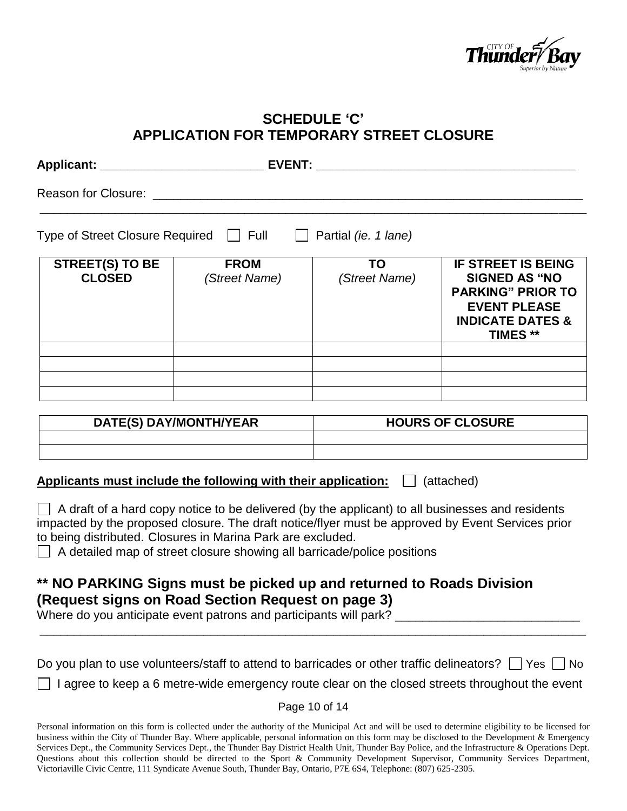

# **SCHEDULE 'C' APPLICATION FOR TEMPORARY STREET CLOSURE**

| Reason for Closure: __________             |                              |                            |                                                                                                                                                        |
|--------------------------------------------|------------------------------|----------------------------|--------------------------------------------------------------------------------------------------------------------------------------------------------|
| Type of Street Closure Required   Full   □ |                              | Partial (ie. 1 lane)       |                                                                                                                                                        |
| <b>STREET(S) TO BE</b><br><b>CLOSED</b>    | <b>FROM</b><br>(Street Name) | <b>TO</b><br>(Street Name) | <b>IF STREET IS BEING</b><br><b>SIGNED AS "NO</b><br><b>PARKING" PRIOR TO</b><br><b>EVENT PLEASE</b><br><b>INDICATE DATES &amp;</b><br><b>TIMES **</b> |
|                                            |                              |                            |                                                                                                                                                        |
|                                            |                              |                            |                                                                                                                                                        |
|                                            | DATE/Q\DAV/MONTU/VEAD        |                            | HUIDE UE UI VEIIDE                                                                                                                                     |

| DATE(S) DAY/MONTH/YEAR | <b>HOURS OF CLOSURE</b> |  |
|------------------------|-------------------------|--|
|                        |                         |  |
|                        |                         |  |

### **Applicants must include the following with their application:**  $\Box$  (attached)

 $\Box$  A draft of a hard copy notice to be delivered (by the applicant) to all businesses and residents impacted by the proposed closure. The draft notice/flyer must be approved by Event Services prior to being distributed. Closures in Marina Park are excluded.

 $\Box$  A detailed map of street closure showing all barricade/police positions

# **\*\* NO PARKING Signs must be picked up and returned to Roads Division (Request signs on Road Section Request on page 3)**

Where do you anticipate event patrons and participants will park?

| Do you plan to use volunteers/staff to attend to barricades or other traffic delineators? $\Box$ Yes $\Box$ No |  |  |
|----------------------------------------------------------------------------------------------------------------|--|--|
|----------------------------------------------------------------------------------------------------------------|--|--|

\_\_\_\_\_\_\_\_\_\_\_\_\_\_\_\_\_\_\_\_\_\_\_\_\_\_\_\_\_\_\_\_\_\_\_\_\_\_\_\_\_\_\_\_\_\_\_\_\_\_\_\_\_\_\_\_\_\_\_\_\_\_\_\_\_\_\_\_\_\_\_\_\_\_\_\_\_\_\_\_

 $\Box$  I agree to keep a 6 metre-wide emergency route clear on the closed streets throughout the event

Page 10 of 14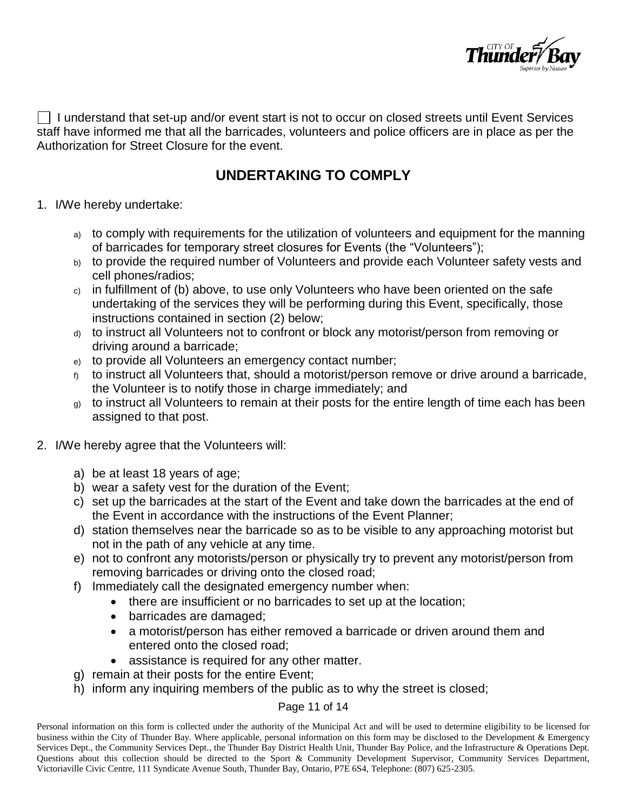

 $\Box$  I understand that set-up and/or event start is not to occur on closed streets until Event Services staff have informed me that all the barricades, volunteers and police officers are in place as per the Authorization for Street Closure for the event.

# **UNDERTAKING TO COMPLY**

- 1. I/We hereby undertake:
	- a) to comply with requirements for the utilization of volunteers and equipment for the manning of barricades for temporary street closures for Events (the "Volunteers");
	- b) to provide the required number of Volunteers and provide each Volunteer safety vests and cell phones/radios;
	- c) in fulfillment of (b) above, to use only Volunteers who have been oriented on the safe undertaking of the services they will be performing during this Event, specifically, those instructions contained in section (2) below;
	- d) to instruct all Volunteers not to confront or block any motorist/person from removing or driving around a barricade;
	- e) to provide all Volunteers an emergency contact number;
	- to instruct all Volunteers that, should a motorist/person remove or drive around a barricade, the Volunteer is to notify those in charge immediately; and
	- g) to instruct all Volunteers to remain at their posts for the entire length of time each has been assigned to that post.
- 2. I/We hereby agree that the Volunteers will:
	- a) be at least 18 years of age;
	- b) wear a safety vest for the duration of the Event;
	- c) set up the barricades at the start of the Event and take down the barricades at the end of the Event in accordance with the instructions of the Event Planner;
	- d) station themselves near the barricade so as to be visible to any approaching motorist but not in the path of any vehicle at any time.
	- e) not to confront any motorists/person or physically try to prevent any motorist/person from removing barricades or driving onto the closed road;
	- f) Immediately call the designated emergency number when:
		- there are insufficient or no barricades to set up at the location;
		- barricades are damaged;
		- a motorist/person has either removed a barricade or driven around them and entered onto the closed road;
		- assistance is required for any other matter.
	- g) remain at their posts for the entire Event;
	- h) inform any inquiring members of the public as to why the street is closed;

### Page 11 of 14

Personal information on this form is collected under the authority of the Municipal Act and will be used to determine eligibility to be licensed for business within the City of Thunder Bay. Where applicable, personal information on this form may be disclosed to the Development & Emergency Services Dept., the Community Services Dept., the Thunder Bay District Health Unit, Thunder Bay Police, and the Infrastructure & Operations Dept. Questions about this collection should be directed to the Sport & Community Development Supervisor, Community Services Department, Victoriaville Civic Centre, 111 Syndicate Avenue South, Thunder Bay, Ontario, P7E 6S4, Telephone: (807) 625-2305.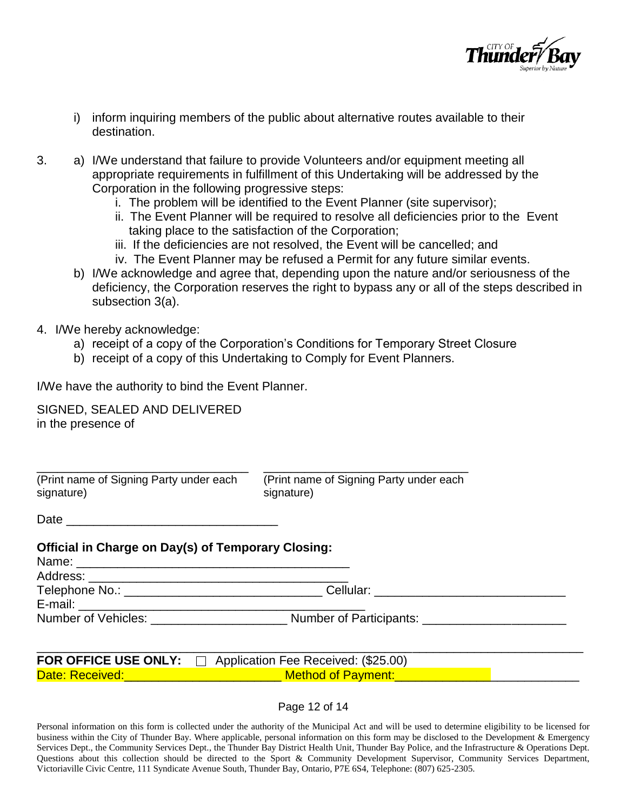

- i) inform inquiring members of the public about alternative routes available to their destination.
- 3. a) I/We understand that failure to provide Volunteers and/or equipment meeting all appropriate requirements in fulfillment of this Undertaking will be addressed by the Corporation in the following progressive steps:
	- i. The problem will be identified to the Event Planner (site supervisor);
	- ii. The Event Planner will be required to resolve all deficiencies prior to the Event taking place to the satisfaction of the Corporation;
	- iii. If the deficiencies are not resolved, the Event will be cancelled; and
	- iv. The Event Planner may be refused a Permit for any future similar events.
	- b) I/We acknowledge and agree that, depending upon the nature and/or seriousness of the deficiency, the Corporation reserves the right to bypass any or all of the steps described in subsection 3(a).
- 4. I/We hereby acknowledge:
	- a) receipt of a copy of the Corporation's Conditions for Temporary Street Closure
	- b) receipt of a copy of this Undertaking to Comply for Event Planners.

I/We have the authority to bind the Event Planner.

SIGNED, SEALED AND DELIVERED in the presence of

| (Print name of Signing Party under each | (Print name of Signing Party under each |
|-----------------------------------------|-----------------------------------------|
| signature)                              | signature)                              |

Date

### **Official in Charge on Day(s) of Temporary Closing:**

| Name:                             |                         |
|-----------------------------------|-------------------------|
| Address:                          |                         |
| Telephone No.: __________________ | Cellular:               |
| E-mail:                           |                         |
| Number of Vehicles:               | Number of Participants: |

|                 | <b>FOR OFFICE USE ONLY:</b> $\Box$ Application Fee Received: (\$25.00) |
|-----------------|------------------------------------------------------------------------|
| Date: Received: | <b>Method of Payment:</b>                                              |

Page 12 of 14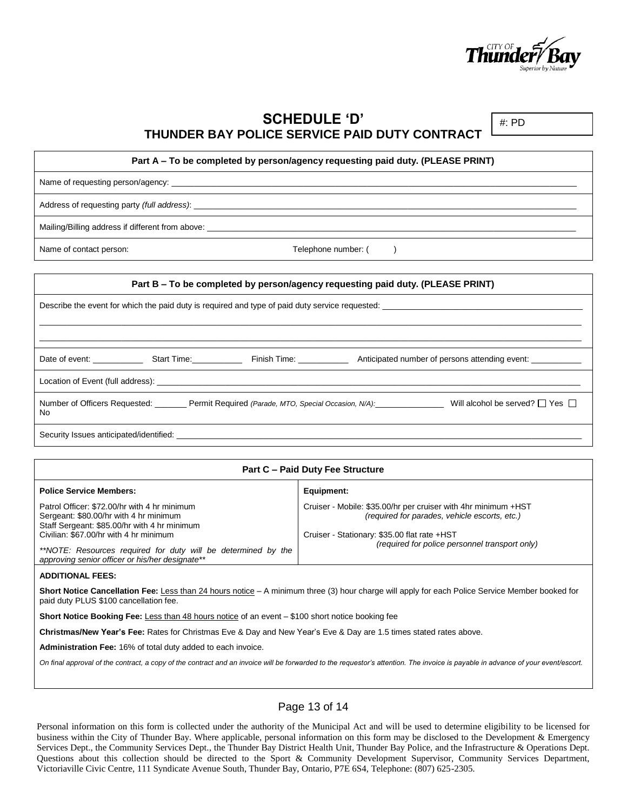

**SCHEDULE 'D' THUNDER BAY POLICE SERVICE PAID DUTY CONTRACT**

#: PD

#### **Part A – To be completed by person/agency requesting paid duty. (PLEASE PRINT)**

Name of requesting person/agency:

Address of requesting party *(full address)*:

Mailing/Billing address if different from above:

Name of contact person:  $\blacksquare$ 

**Part B – To be completed by person/agency requesting paid duty. (PLEASE PRINT)** Describe the event for which the paid duty is required and type of paid duty service requested: \_\_\_\_\_\_\_\_\_\_\_\_\_\_\_\_\_\_\_\_\_\_\_\_\_\_\_\_\_\_\_\_\_\_\_\_\_\_\_\_\_\_\_\_\_\_\_\_\_\_\_\_\_\_\_\_\_\_\_\_\_\_\_\_\_\_\_\_\_\_\_\_\_\_\_\_\_\_\_\_\_\_\_\_\_\_\_\_\_\_\_\_\_\_\_\_\_\_\_\_\_\_\_\_\_\_\_\_\_\_\_\_\_\_\_\_\_\_\_ \_\_\_\_\_\_\_\_\_\_\_\_\_\_\_\_\_\_\_\_\_\_\_\_\_\_\_\_\_\_\_\_\_\_\_\_\_\_\_\_\_\_\_\_\_\_\_\_\_\_\_\_\_\_\_\_\_\_\_\_\_\_\_\_\_\_\_\_\_\_\_\_\_\_\_\_\_\_\_\_\_\_\_\_\_\_\_\_\_\_\_\_\_\_\_\_\_\_\_\_\_\_\_\_\_\_\_\_\_\_\_\_\_\_\_\_\_\_\_ Date of event: Start Time: Finish Time: Anticipated number of persons attending event: Location of Event (full address): \_ Number of Officers Requested: Permit Required *(Parade, MTO, Special Occasion, N/A):* Will alcohol be served? ■ Yes No Security Issues anticipated/identified:

| <b>Part C - Paid Duty Fee Structure</b>                                                                                                                                                                                                                                                              |                                                                                                                                                                                                                   |  |
|------------------------------------------------------------------------------------------------------------------------------------------------------------------------------------------------------------------------------------------------------------------------------------------------------|-------------------------------------------------------------------------------------------------------------------------------------------------------------------------------------------------------------------|--|
| <b>Police Service Members:</b>                                                                                                                                                                                                                                                                       | Equipment:                                                                                                                                                                                                        |  |
| Patrol Officer: \$72,00/hr with 4 hr minimum<br>Sergeant: \$80.00/hr with 4 hr minimum<br>Staff Sergeant: \$85.00/hr with 4 hr minimum<br>Civilian: \$67.00/hr with 4 hr minimum<br>**NOTE: Resources required for duty will be determined by the<br>approving senior officer or his/her designate** | Cruiser - Mobile: \$35.00/hr per cruiser with 4hr minimum +HST<br>(required for parades, vehicle escorts, etc.)<br>Cruiser - Stationary: \$35.00 flat rate +HST<br>(required for police personnel transport only) |  |
| .                                                                                                                                                                                                                                                                                                    |                                                                                                                                                                                                                   |  |

**ADDITIONAL FEES:**

**Short Notice Cancellation Fee:** Less than 24 hours notice – A minimum three (3) hour charge will apply for each Police Service Member booked for paid duty PLUS \$100 cancellation fee.

**Short Notice Booking Fee:** Less than 48 hours notice of an event – \$100 short notice booking fee

**Christmas/New Year's Fee:** Rates for Christmas Eve & Day and New Year's Eve & Day are 1.5 times stated rates above.

**Administration Fee:** 16% of total duty added to each invoice.

*On final approval of the contract, a copy of the contract and an invoice will be forwarded to the requestor's attention. The invoice is payable in advance of your event/escort.*

#### Page 13 of 14